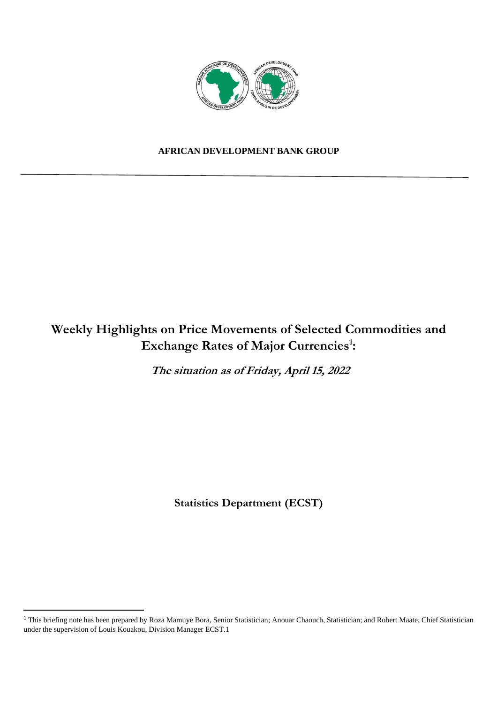

## **AFRICAN DEVELOPMENT BANK GROUP**

# **Weekly Highlights on Price Movements of Selected Commodities and Exchange Rates of Major Currencies<sup>1</sup> :**

**The situation as of Friday, April 15, 2022** 

**Statistics Department (ECST)** 

<sup>&</sup>lt;sup>1</sup> This briefing note has been prepared by Roza Mamuye Bora, Senior Statistician; Anouar Chaouch, Statistician; and Robert Maate, Chief Statistician under the supervision of Louis Kouakou, Division Manager ECST.1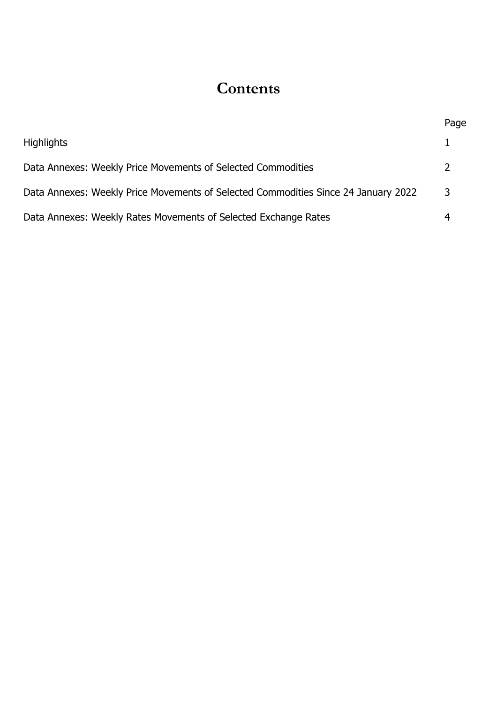# **Contents**

|                                                                                    | Page          |
|------------------------------------------------------------------------------------|---------------|
| <b>Highlights</b>                                                                  |               |
| Data Annexes: Weekly Price Movements of Selected Commodities                       | $\mathcal{L}$ |
| Data Annexes: Weekly Price Movements of Selected Commodities Since 24 January 2022 | 3             |
| Data Annexes: Weekly Rates Movements of Selected Exchange Rates                    |               |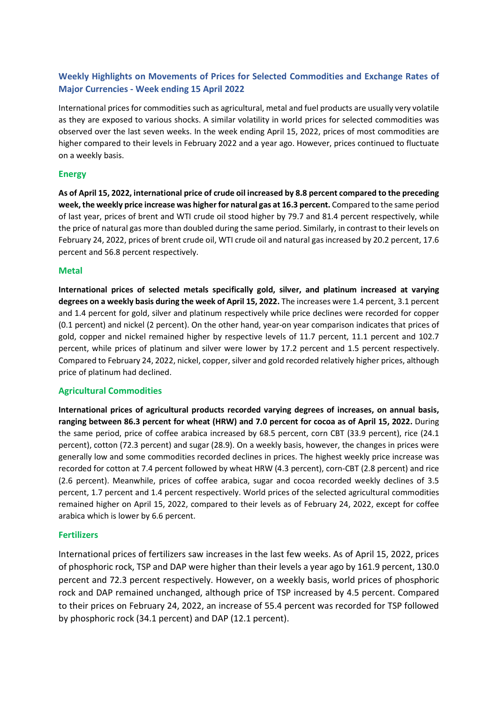### **Weekly Highlights on Movements of Prices for Selected Commodities and Exchange Rates of Major Currencies - Week ending 15 April 2022**

International prices for commodities such as agricultural, metal and fuel products are usually very volatile as they are exposed to various shocks. A similar volatility in world prices for selected commodities was observed over the last seven weeks. In the week ending April 15, 2022, prices of most commodities are higher compared to their levels in February 2022 and a year ago. However, prices continued to fluctuate on a weekly basis.

#### **Energy**

**As of April 15, 2022, international price of crude oil increased by 8.8 percent compared to the preceding week, the weekly price increase was higher for natural gas at 16.3 percent.** Compared to the same period of last year, prices of brent and WTI crude oil stood higher by 79.7 and 81.4 percent respectively, while the price of natural gas more than doubled during the same period. Similarly, in contrast to their levels on February 24, 2022, prices of brent crude oil, WTI crude oil and natural gas increased by 20.2 percent, 17.6 percent and 56.8 percent respectively.

#### **Metal**

**International prices of selected metals specifically gold, silver, and platinum increased at varying degrees on a weekly basis during the week of April 15, 2022.** The increases were 1.4 percent, 3.1 percent and 1.4 percent for gold, silver and platinum respectively while price declines were recorded for copper (0.1 percent) and nickel (2 percent). On the other hand, year-on year comparison indicates that prices of gold, copper and nickel remained higher by respective levels of 11.7 percent, 11.1 percent and 102.7 percent, while prices of platinum and silver were lower by 17.2 percent and 1.5 percent respectively. Compared to February 24, 2022, nickel, copper, silver and gold recorded relatively higher prices, although price of platinum had declined.

#### **Agricultural Commodities**

**International prices of agricultural products recorded varying degrees of increases, on annual basis, ranging between 86.3 percent for wheat (HRW) and 7.0 percent for cocoa as of April 15, 2022.** During the same period, price of coffee arabica increased by 68.5 percent, corn CBT (33.9 percent), rice (24.1 percent), cotton (72.3 percent) and sugar (28.9). On a weekly basis, however, the changes in prices were generally low and some commodities recorded declines in prices. The highest weekly price increase was recorded for cotton at 7.4 percent followed by wheat HRW (4.3 percent), corn-CBT (2.8 percent) and rice (2.6 percent). Meanwhile, prices of coffee arabica, sugar and cocoa recorded weekly declines of 3.5 percent, 1.7 percent and 1.4 percent respectively. World prices of the selected agricultural commodities remained higher on April 15, 2022, compared to their levels as of February 24, 2022, except for coffee arabica which is lower by 6.6 percent.

#### **Fertilizers**

International prices of fertilizers saw increases in the last few weeks. As of April 15, 2022, prices of phosphoric rock, TSP and DAP were higher than their levels a year ago by 161.9 percent, 130.0 percent and 72.3 percent respectively. However, on a weekly basis, world prices of phosphoric rock and DAP remained unchanged, although price of TSP increased by 4.5 percent. Compared to their prices on February 24, 2022, an increase of 55.4 percent was recorded for TSP followed by phosphoric rock (34.1 percent) and DAP (12.1 percent).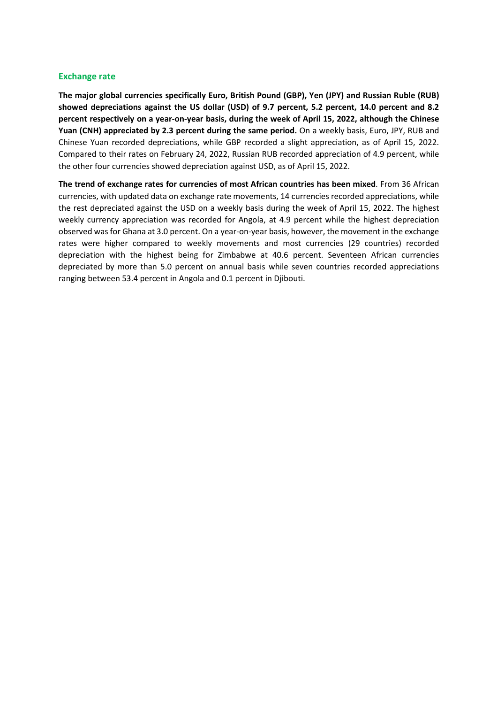#### **Exchange rate**

**The major global currencies specifically Euro, British Pound (GBP), Yen (JPY) and Russian Ruble (RUB) showed depreciations against the US dollar (USD) of 9.7 percent, 5.2 percent, 14.0 percent and 8.2 percent respectively on a year-on-year basis, during the week of April 15, 2022, although the Chinese Yuan (CNH) appreciated by 2.3 percent during the same period.** On a weekly basis, Euro, JPY, RUB and Chinese Yuan recorded depreciations, while GBP recorded a slight appreciation, as of April 15, 2022. Compared to their rates on February 24, 2022, Russian RUB recorded appreciation of 4.9 percent, while the other four currencies showed depreciation against USD, as of April 15, 2022.

**The trend of exchange rates for currencies of most African countries has been mixed**. From 36 African currencies, with updated data on exchange rate movements, 14 currencies recorded appreciations, while the rest depreciated against the USD on a weekly basis during the week of April 15, 2022. The highest weekly currency appreciation was recorded for Angola, at 4.9 percent while the highest depreciation observed was for Ghana at 3.0 percent. On a year-on-year basis, however, the movement in the exchange rates were higher compared to weekly movements and most currencies (29 countries) recorded depreciation with the highest being for Zimbabwe at 40.6 percent. Seventeen African currencies depreciated by more than 5.0 percent on annual basis while seven countries recorded appreciations ranging between 53.4 percent in Angola and 0.1 percent in Djibouti.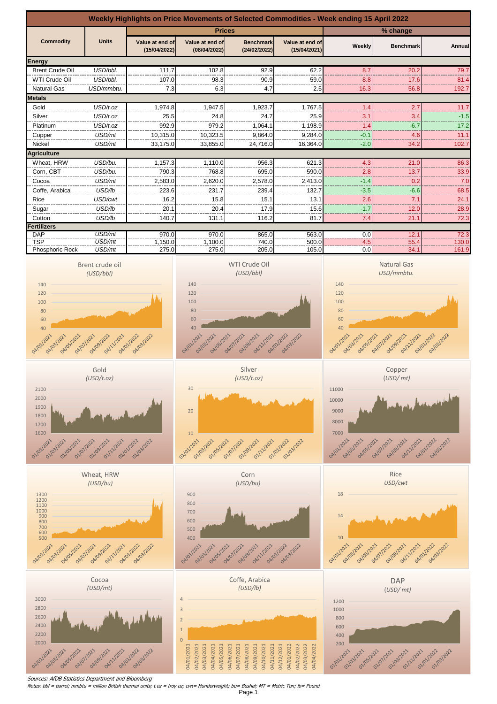

Sources: AfDB Statistics Department and Bloomberg

Notes: bbl = barrel; mmbtu = million British thermal units; t.oz = troy oz; cwt= Hunderweight; bu= Bushel; MT = Metric Ton; lb= Pound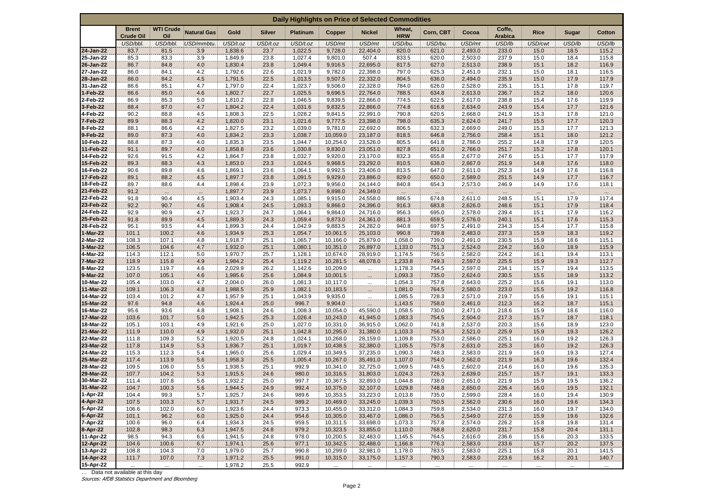| Daily Highlights on Price of Selected Commodities |                                  |                         |                    |                    |               |                    |                      |                      |                      |                   |                    |                          |                  |                 |                |
|---------------------------------------------------|----------------------------------|-------------------------|--------------------|--------------------|---------------|--------------------|----------------------|----------------------|----------------------|-------------------|--------------------|--------------------------|------------------|-----------------|----------------|
|                                                   | <b>Brent</b><br><b>Crude Oil</b> | <b>WTI Crude</b><br>Oil | <b>Natural Gas</b> | Gold               | <b>Silver</b> | <b>Platinum</b>    | Copper               | <b>Nickel</b>        | Wheat,<br><b>HRW</b> | Corn, CBT         | Cocoa              | Coffe,<br><b>Arabica</b> | <b>Rice</b>      | Sugar           | <b>Cotton</b>  |
|                                                   | USD/bbl.                         | USD/bbl.                | USD/mmbtu.         | USD/t.oz           | USD/t.oz      | USD/t.oz           | USD/mt               | USD/mt               | USD/bu.              | USD/bu.           | USD/mt             | USD/lb                   | USD/cwt          | USD/lb          | USD/lb         |
| 24-Jan-22                                         | 83.7                             | 81.5                    | 3.9                | 1,838.6            | 23.7          | 1,022.5            | 9,728.0              | 22,404.0             | 820.0                | 621.0             | 2,493.0            | 233.0                    | 15.0             | 18.5            | 115.2          |
| 25-Jan-22                                         | 85.3                             | 83.3                    | 3.9                | 1,849.9            | 23.8          | 1,027.4            | 9,801.0              | 507.4                | 833.5                | 620.0             | 2,503.0            | 237.9                    | 15.0             | 18.4            | 115.8          |
| 26-Jan-22                                         | 86.7                             | 84.8                    | 4.0                | 1,830.4            | 23.8          | 1,049.4            | 9,916.5              | 22,695.0             | 817.5                | 627.0             | 2,513.0            | 238.9                    | 15.1             | 18.2            | 116.9          |
| 27-Jan-22                                         | 86.0                             | 84.1                    | 4.2                | 1,792.6            | 22.6          | 1,021.9            | 9,782.0              | 22,398.0             | 797.0                | 625.3             | 2,451.0            | 232.1                    | 15.0             | 18.1            | 116.5          |
| 28-Jan-22                                         | 86.0                             | 84.2                    | 4.5                | 1,791.5            | 22.5          | 1,013.5            | 9,507.5              | 22,332.0             | 804.5                | 636.0             | 2,494.0            | 235.9                    | 15.0             | 17.9            | 117.9          |
| 31-Jan-22                                         | 86.6                             | 85.1                    | 4.7                | 1,797.0            | 22.4<br>22.7  | 1,023.7            | 9,506.0              | 22,328.0             | 784.0                | 626.0             | 2,528.0            | 235.1                    | 15.1             | 17.8<br>18.0    | 119.7          |
| 1-Feb-22<br>2-Feb-22                              | 86.6<br>86.9                     | 85.0<br>85.3            | 4.6<br>5.0         | 1,802.7<br>1,810.2 | 22.8          | 1,025.5<br>1,046.5 | 9,696.5<br>9,839.5   | 22,764.0<br>22,866.0 | 788.5<br>774.5       | 634.8<br>622.5    | 2,613.0<br>2,617.0 | 236.7<br>238.8           | 15.2<br>15.4     | 17.6            | 120.6<br>119.9 |
| 3-Feb-22                                          | 88.4                             | 87.0                    | 4.7                | 1,804.2            | 22.4          | 1,031.6            | 9,832.5              | 22,866.0             | 774.8                | 616.8             | 2,634.0            | 243.9                    | 15.4             | 17.7            | 121.6          |
| 4-Feb-22                                          | 90.2                             | 88.8                    | 4.5                | 1,808.3            | 22.5          | 1,028.2            | 9,841.5              | 22,991.0             | 790.8                | 620.5             | 2,668.0            | 241.9                    | 15.3             | 17.8            | 121.0          |
| 7-Feb-22                                          | 89.9                             | 88.3                    | 4.2                | 1,820.0            | 23.1          | 1,021.6            | 9,777.5              | 23,398.0             | 798.0                | 635.3             | 2,624.0            | 241.7                    | 15.5             | 17.7            | 120.3          |
| 8-Feb-22                                          | 88.1                             | 86.6                    | 4.2                | 1,827.5            | 23.2          | 1,039.0            | 9,781.0              | 22,692.0             | 806.5                | 632.3             | 2,669.0            | 249.0                    | 15.3             | 17.7            | 121.3          |
| 9-Feb-22                                          | 89.0                             | 87.3                    | 4.0                | 1,834.2            | 23.3          | 1,038.7            | 10,059.0             | 23,187.0             | 818.5                | 646.8             | 2,756.0            | 258.4                    | 15.1             | 18.0            | 121.2          |
| 10-Feb-22                                         | 88.8                             | 87.3                    | 4.0                | 1,835.3            | 23.5          | 1,044.7            | 10,254.0             | 23,526.0             | 805.5                | 641.8             | 2,786.0            | 255.2                    | 14.8             | 17.9            | 120.5          |
| 11-Feb-22                                         | 91.1                             | 89.7                    | 4.0                | 1,858.8            | 23.6          | 1,030.8            | 9,830.0              | 23,051.0             | 827.8                | 651.0             | 2,766.0            | 251.7                    | 15.2             | 17.8            | 120.1          |
| 14-Feb-22                                         | 92.6                             | 91.5                    | 4.2                | 1,864.7            | 23.8          | 1,032.7            | 9,920.0              | 23,170.0             | 832.3                | 655.8             | 2,677.0            | 247.6                    | 15.1             | 17.7            | 117.9          |
| 15-Feb-22                                         | 89.3                             | 88.3                    | 4.3                | 1,853.0            | 23.3          | 1,024.5            | 9,968.5              | 23,292.0             | 810.5                | 638.0             | 2,667.0            | 251.9                    | 14.8             | 17.6            | 118.0          |
| 16-Feb-22                                         | 90.6                             | 89.8                    | 4.6                | 1,869.1            | 23.6          | 1,064.1            | 9,992.5              | 23,406.0             | 813.5                | 647.0             | 2,611.0            | 252.3                    | 14.9             | 17.6            | 116.8          |
| 17-Feb-22                                         | 89.1                             | 88.2                    | 4.5                | 1,897.7            | 23.8          | 1,091.5            | 9,929.0              | 23,886.0             | 829.0                | 650.0             | 2,589.0            | 251.5                    | 14.9             | 17.7            | 116.7          |
| 18-Feb-22                                         | 89.7                             | 88.6                    | 4.4                | 1,898.4            | 23.9          | 1,072.3            | 9,956.0              | 24,144.0             | 840.8                | 654.3             | 2,573.0            | 246.9                    | 14.9             | 17.6            | 118.1          |
| 21-Feb-22<br>22-Feb-22                            | 91.2<br>91.8                     | $\cdots$<br>90.4        | $\cdots$<br>4.5    | 1,897.7<br>1,903.4 | 23.9<br>24.3  | 1,073.7<br>1,085.1 | 9,898.0<br>9,915.0   | 24,349.0<br>24,558.0 | $\cdots$<br>886.5    | $\cdots$<br>674.8 | 2,611.0            | 248.5                    | $\cdots$<br>15.1 | $\cdot$<br>17.9 | 117.4          |
| 23-Feb-22                                         | 92.2                             | 90.7                    | 4.6                | 1,908.4            | 24.5          | 1,093.3            | 9,866.0              | 24,396.0             | 916.3                | 683.8             | 2,626.0            | 248.6                    | 15.1             | 17.9            | 118.4          |
| 24-Feb-22                                         | 92.9                             | 90.9                    | 4.7                | 1,923.7            | 24.7          | 1,064.1            | 9,864.0              | 24,716.0             | 956.3                | 695.0             | 2,578.0            | 239.4                    | 15.1             | 17.9            | 116.2          |
| 25-Feb-22                                         | 91.8                             | 89.9                    | 4.5                | 1,889.3            | 24.3          | 1,059.4            | 9,873.0              | 24,361.0             | 881.3                | 659.5             | 2,576.0            | 240.1                    | 15.1             | 17.6            | 115.3          |
| 28-Feb-22                                         | 95.1                             | 93.5                    | 4.4                | 1,899.3            | 24.4          | 1,042.9            | 9,883.5              | 24,282.0             | 940.8                | 697.5             | 2,491.0            | 234.3                    | 15.4             | 17.7            | 115.8          |
| 1-Mar-22                                          | 101.1                            | 100.2                   | 4.6                | 1,934.9            | 25.3          | 1,054.7            | 10,061.5             | 25,103.0             | 990.8                | 739.8             | 2,483.0            | 237.3                    | 15.9             | 18.3            | 119.2          |
| 2-Mar-22                                          | 108.3                            | 107.1                   | 4.8                | 1,918.7            | 25.1          | 1,065.7            | 10,166.0             | 25,879.0             | 1,058.0              | 739.0             | 2,491.0            | 230.5                    | 15.9             | 18.6            | 115.1          |
| 3-Mar-22                                          | 106.5                            | 104.6                   | 4.7                | 1,932.0            | 25.1          | 1,080.1            | 10,351.0             | 26,897.0             | 1,133.0              | 751.3             | 2,524.0            | 224.2                    | 16.0             | 18.9            | 115.9          |
| 4-Mar-22                                          | 114.3                            | 112.1                   | 5.0                | 1,970.7            | 25.7          | 1,128.1            | 10,674.0             | 28,919.0             | 1,174.5              | 756.5             | 2,582.0            | 224.2                    | 16.1             | 19.4            | 113.1          |
| 7-Mar-22                                          | 118.9                            | 115.8                   | 4.9                | 1,984.2            | 25.4          | 1,119.2            | 10,281.5             | 48,078.0             | 1,233.8              | 749.3             | 2,597.0            | 225.5                    | 15.9             | 19.3            | 112.7          |
| 8-Mar-22                                          | 123.5                            | 119.7                   | 4.6                | 2,029.9            | 26.2          | 1,142.6            | 10,209.0             | m.                   | 1,178.3              | 754.5             | 2,597.0            | 234.1                    | 15.7             | 19.4            | 113.5          |
| 9-Mar-22<br>10-Mar-22                             | 107.0<br>105.4                   | 105.1<br>103.0          | 4.6<br>4.7         | 1,985.6<br>2,004.0 | 25.6<br>26.0  | 1,084.9<br>1,081.3 | 10,001.5<br>10,117.0 | $\mathbb{R}$         | 1,093.3              | 735.0<br>757.8    | 2,624.0<br>2,643.0 | 230.5<br>225.2           | 15.5<br>15.6     | 18.9<br>19.1    | 113.2          |
| 11-Mar-22                                         | 109.1                            | 106.3                   | 4.8                | 1,988.5            | 25.9          | 1,082.1            | 10,183.5             | $\mathbf{H}$         | 1,054.3<br>1,081.0   | 764.5             | 2,580.0            | 223.0                    | 15.5             | 19.2            | 113.0<br>116.8 |
| 14-Mar-22                                         | 103.4                            | 101.2                   | 4.7                | 1,957.9            | 25.1          | 1,043.9            | 9,935.0              | $\cdots$             | 1,085.5              | 728.3             | 2,571.0            | 219.7                    | 15.6             | 19.1            | 115.1          |
| 15-Mar-22                                         | 97.6                             | 94.8                    | 4.6                | 1,924.4            | 25.0          | 996.7              | 9,904.0              | m.<br>$\ldots$       | 1,143.5              | 758.0             | 2,461.0            | 212.3                    | 16.2             | 18.7            | 115.1          |
| 16-Mar-22                                         | 95.6                             | 93.6                    | 4.8                | 1,908.1            | 24.6          | 1,008.3            | 10,054.0             | 45,590.0             | 1,058.5              | 730.0             | 2,471.0            | 218.6                    | 15.9             | 18.6            | 116.0          |
| 17-Mar-22                                         | 103.6                            | 101.7                   | 5.0                | 1,942.5            | 25.3          | 1,026.4            | 10,243.0             | 41,945.0             | 1,083.3              | 754.5             | 2,504.0            | 217.3                    | 15.7             | 18.7            | 118.1          |
| 18-Mar-22                                         | 105.1                            | 103.1                   | 4.9                | 1,921.6            | 25.0          | 1,027.0            | 10,331.0             | 36,915.0             | 1,062.0              | 741.8             | 2,537.0            | 220.3                    | 15.6             | 18.9            | 123.0          |
| 21-Mar-22                                         | 111.9                            | 110.0                   | 4.9                | 1,932.0            | 25.1          | 1,042.8            | 10,295.0             | 31,380.0             | 1,103.3              | 756.3             | 2,521.0            | 225.9                    | 15.9             | 19.3            | 126.2          |
| 22-Mar-22                                         | 111.8                            | 109.3                   | 5.2                | 1,920.5            | 24.8          | 1,024.1            | 10,268.0             | 28,159.0             | 1,109.8              | 753.0             | 2,586.0            | 225.1                    | 16.0             | 19.2            | 126.3          |
| 23-Mar-22                                         | 117.8                            | 114.9                   | 5.3                | 1,936.7            | 25.1          | 1,019.7            | 10,438.5             | 32,380.0             | 1,105.5              | 757.8             | 2,631.0            | 225.3                    | 16.0             | 19.2            | 126.3          |
| 24-Mar-22                                         | 115.3                            | 112.3                   | 5.4                | 1,965.0            | 25.6          | 1,029.4            | 10,349.5             | 37,235.0             | 1,090.3              | 748.3             | 2,583.0            | 221.9                    | 16.0             | 19.3            | 127.4          |
| 25-Mar-22                                         | 117.4                            | 113.9                   | 5.6                | 1,958.3            | 25.5          | 1,005.4            | 10,267.0             | 35,491.0             | 1,107.0              | 754.0             | 2,562.0            | 221.9                    | 16.3             | 19.6            | 132.4          |
| 28-Mar-22<br>29-Mar-22                            | 109.5<br>107.7                   | 106.0<br>104.2          | 5.5                | 1,938.5            | 25.1          | 992.9<br>980.0     | 10,341.0             | 32,725.0             | 1,069.5              | 748.5             | 2,602.0            | 214.6                    | 16.0<br>15.7     | 19.6<br>19.1    | 135.3          |
| 30-Mar-22                                         | 111.4                            | 107.8                   | 5.3<br>5.6         | 1,915.5<br>1,932.2 | 24.6<br>25.0  | 997.7              | 10,316.5<br>10,367.5 | 31,803.0<br>32,893.0 | 1,024.3<br>1,044.8   | 726.3<br>738.0    | 2,639.0<br>2,651.0 | 215.7<br>221.9           | 15.9             | 19.5            | 133.3<br>136.2 |
| 31-Mar-22                                         | 104.7                            | 100.3                   | 5.6                | 1,944.5            | 24.9          | 992.4              | 10,375.0             | 32,107.0             | 1,029.8              | 748.8             | 2,650.0            | 226.4                    | 16.0             | 19.5            | 132.1          |
| 1-Apr-22                                          | 104.4                            | 99.3                    | 5.7                | 1,925.7            | 24.6          | 989.6              | 10,353.5             | 33,223.0             | 1,013.8              | 735.0             | 2,599.0            | 228.4                    | 16.0             | 19.4            | 130.9          |
| 4-Apr-22                                          | 107.5                            | 103.3                   | 5.7                | 1,931.7            | 24.5          | 989.2              | 10,469.0             | 33,245.0             | 1,039.3              | 750.5             | 2,562.0            | 230.6                    | 16.0             | 19.6            | 134.3          |
| 5-Apr-22                                          | 106.6                            | 102.0                   | 6.0                | 1,923.6            | 24.4          | 973.3              | 10,455.0             | 33,312.0             | 1,084.3              | 759.8             | 2,534.0            | 231.3                    | 16.0             | 19.7            | 134.0          |
| 6-Apr-22                                          | 101.1                            | 96.2                    | 6.0                | 1,925.0            | 24.4          | 954.6              | 10,305.0             | 33,467.0             | 1,086.0              | 756.5             | 2,549.0            | 227.6                    | 15.9             | 19.6            | 132.6          |
| 7-Apr-22                                          | 100.6                            | 96.0                    | 6.4                | 1,934.3            | 24.5          | 959.5              | 10,311.5             | 33,698.0             | 1,073.3              | 757.8             | 2,574.0            | 226.2                    | 15.8             | 19.8            | 131.4          |
| 8-Apr-22                                          | 102.8                            | 98.3                    | 6.3                | 1,947.5            | 24.8          | 979.2              | 10,323.5             | 33,855.0             | 1,110.0              | 768.8             | 2,620.0            | 231.7                    | 15.8             | 20.4            | 131.1          |
| 11-Apr-22                                         | 98.5                             | 94.3                    | 6.6                | 1,941.5            | 24.8          | 978.0              | 10,200.5             | 32,483.0             | 1,145.5              | 764.5             | 2,616.0            | 236.6                    | 15.6             | 20.3            | 133.5          |
| 12-Apr-22                                         | 104.6                            | 100.6                   | 6.7                | 1,974.1            | 25.6          | 977.1              | 10,342.5             | 32,488.0             | 1,166.8              | 776.3             | 2,583.0            | 233.6                    | 15.7             | 20.2            | 137.5          |
| 13-Apr-22                                         | 108.8                            | 104.3                   | 7.0                | 1,979.0            | 25.7          | 990.8              | 10,299.0             | 32,981.0             | 1,178.0              | 783.5             | 2,583.0            | 225.1                    | 15.8             | 20.1            | 141.5          |
| 14-Apr-22                                         | 111.7                            | 107.0                   | 7.3                | 1,971.2            | 25.5          | 991.0              | 10,315.0             | 33,175.0             | 1,157.3              | 790.3             | 2,583.0            | 223.6                    | 16.2             | 20.1            | 140.7          |
| 15-Apr-22                                         |                                  |                         |                    | 1,978.2            | 25.5          | 992.9              |                      |                      |                      |                   |                    |                          |                  |                 |                |

… Data not available at this day Sources: AfDB Statistics Department and Bloomberg